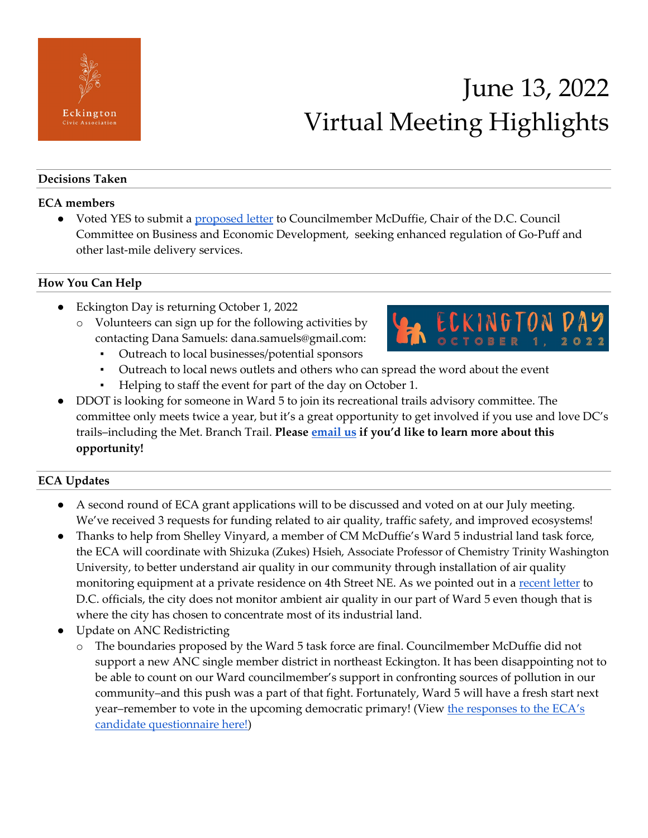

# June 13, 2022 Virtual Meeting Highlights

#### **Decisions Taken**

#### **ECA members**

● Voted YES to submit a [proposed letter](https://docs.google.com/document/d/1sFM8Wb6qefCUPvnSwr79DOOU5eGIhSk15itNB4qD6PQ/edit?usp=sharing) to Councilmember McDuffie, Chair of the D.C. Council Committee on Business and Economic Development, seeking enhanced regulation of Go-Puff and other last-mile delivery services.

#### **How You Can Help**

- Eckington Day is returning October 1, 2022
	- o Volunteers can sign up for the following activities by contacting Dana Samuels: dana.samuels@gmail.com:
		- Outreach to local businesses/potential sponsors
			- Outreach to local news outlets and others who can spread the word about the event
		- Helping to staff the event for part of the day on October 1.
- DDOT is looking for someone in Ward 5 to join its recreational trails advisory committee. The committee only meets twice a year, but it's a great opportunity to get involved if you use and love DC's trails–including the Met. Branch Trail. **Please [email us](mailto:eckingtoncivic@gmail.com) if you'd like to learn more about this opportunity!**

### **ECA Updates**

- A second round of ECA grant applications will to be discussed and voted on at our July meeting. We've received 3 requests for funding related to air quality, traffic safety, and improved ecosystems!
- Thanks to help from Shelley Vinyard, a member of CM McDuffie's Ward 5 industrial land task force, the ECA will coordinate with Shizuka (Zukes) Hsieh, Associate Professor of Chemistry Trinity Washington University, to better understand air quality in our community through installation of air quality monitoring equipment at a private residence on 4th Street NE. As we pointed out in a [recent letter](https://eckingtoncivicassociation.com/2022/05/18/eckington-civic-leaders-and-organizations-call-for-doee-to-make-significant-changes-to-fort-myers-asphalt-plant-permit/) to D.C. officials, the city does not monitor ambient air quality in our part of Ward 5 even though that is where the city has chosen to concentrate most of its industrial land.
- Update on ANC Redistricting
	- The boundaries proposed by the Ward 5 task force are final. Councilmember McDuffie did not support a new ANC single member district in northeast Eckington. It has been disappointing not to be able to count on our Ward councilmember's support in confronting sources of pollution in our community–and this push was a part of that fight. Fortunately, Ward 5 will have a fresh start next year–remember to vote in the upcoming democratic primary! (View [the responses to the ECA's](https://eckingtoncivicassociation.com/2022/05/17/responses-to-eckington-civic-associate-ward-5-councilmember-candidate-questionnaire/)  [candidate questionnaire here!\)](https://eckingtoncivicassociation.com/2022/05/17/responses-to-eckington-civic-associate-ward-5-councilmember-candidate-questionnaire/)

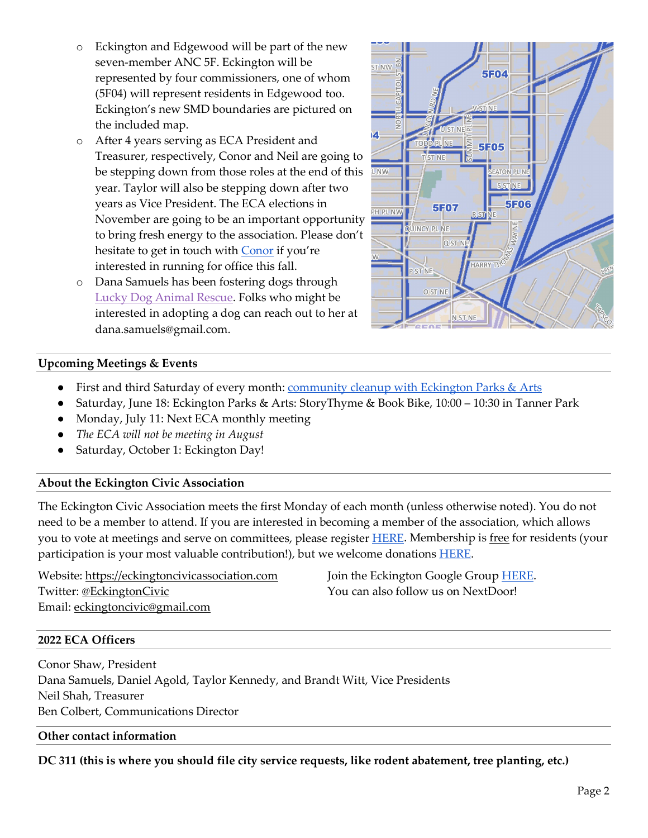- o Eckington and Edgewood will be part of the new seven-member ANC 5F. Eckington will be represented by four commissioners, one of whom (5F04) will represent residents in Edgewood too. Eckington's new SMD boundaries are pictured on the included map.
- o After 4 years serving as ECA President and Treasurer, respectively, Conor and Neil are going to be stepping down from those roles at the end of this year. Taylor will also be stepping down after two years as Vice President. The ECA elections in November are going to be an important opportunity to bring fresh energy to the association. Please don't hesitate to get in touch with [Conor](mailto:conormarcusshaw@gmail.com) if you're interested in running for office this fall.
- o Dana Samuels has been fostering dogs through [Lucky Dog Animal Rescue.](https://www.luckydoganimalrescue.org/about) Folks who might be interested in adopting a dog can reach out to her at dana.samuels@gmail.com.



#### **Upcoming Meetings & Events**

- First and third Saturday of every month: [community cleanup with Eckington Parks & Arts](https://eckingtonparks.com/events)
- Saturday, June 18: Eckington Parks & Arts: StoryThyme & Book Bike, 10:00 10:30 in Tanner Park
- Monday, July 11: Next ECA monthly meeting
- *The ECA will not be meeting in August*
- Saturday, October 1: Eckington Day!

#### **About the Eckington Civic Association**

The Eckington Civic Association meets the first Monday of each month (unless otherwise noted). You do not need to be a member to attend. If you are interested in becoming a member of the association, which allows you to vote at meetings and serve on committees, please registe[r HERE.](https://www.eckingtonsupporters.com/signup-2) Membership is free for residents (your participation is your most valuable contribution!), but we welcome donations [HERE.](https://www.paypal.com/donate/?hosted_button_id=89Y6W4TJ2UYXY)

Website: [https://eckingtoncivicassociation.com](https://eckingtoncivicassociation.com/) Twitter: [@EckingtonCivic](https://twitter.com/EckingtonCivic) Email: [eckingtoncivic@gmail.com](mailto:eckingtoncivic@gmail.com)

Join the Eckington Google Group [HERE.](https://groups.google.com/u/3/g/eckington) You can also follow us on NextDoor!

#### **2022 ECA Officers**

Conor Shaw, President Dana Samuels, Daniel Agold, Taylor Kennedy, and Brandt Witt, Vice Presidents Neil Shah, Treasurer Ben Colbert, Communications Director

#### **Other contact information**

**DC 311 (this is where you should file city service requests, like rodent abatement, tree planting, etc.)**